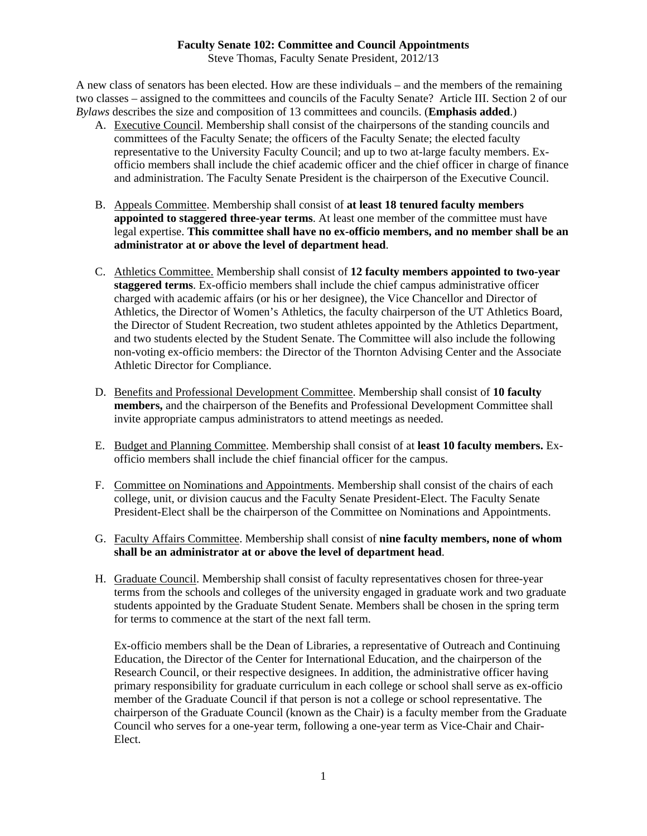## **Faculty Senate 102: Committee and Council Appointments**

Steve Thomas, Faculty Senate President, 2012/13

A new class of senators has been elected. How are these individuals – and the members of the remaining two classes – assigned to the committees and councils of the Faculty Senate? Article III. Section 2 of our *Bylaws* describes the size and composition of 13 committees and councils. (**Emphasis added**.)

- A. Executive Council. Membership shall consist of the chairpersons of the standing councils and committees of the Faculty Senate; the officers of the Faculty Senate; the elected faculty representative to the University Faculty Council; and up to two at-large faculty members. Exofficio members shall include the chief academic officer and the chief officer in charge of finance and administration. The Faculty Senate President is the chairperson of the Executive Council.
- B. Appeals Committee. Membership shall consist of **at least 18 tenured faculty members appointed to staggered three-year terms**. At least one member of the committee must have legal expertise. **This committee shall have no ex-officio members, and no member shall be an administrator at or above the level of department head**.
- C. Athletics Committee. Membership shall consist of **12 faculty members appointed to two-year staggered terms**. Ex-officio members shall include the chief campus administrative officer charged with academic affairs (or his or her designee), the Vice Chancellor and Director of Athletics, the Director of Women's Athletics, the faculty chairperson of the UT Athletics Board, the Director of Student Recreation, two student athletes appointed by the Athletics Department, and two students elected by the Student Senate. The Committee will also include the following non-voting ex-officio members: the Director of the Thornton Advising Center and the Associate Athletic Director for Compliance.
- D. Benefits and Professional Development Committee. Membership shall consist of **10 faculty members,** and the chairperson of the Benefits and Professional Development Committee shall invite appropriate campus administrators to attend meetings as needed.
- E. Budget and Planning Committee. Membership shall consist of at **least 10 faculty members.** Exofficio members shall include the chief financial officer for the campus.
- F. Committee on Nominations and Appointments. Membership shall consist of the chairs of each college, unit, or division caucus and the Faculty Senate President-Elect. The Faculty Senate President-Elect shall be the chairperson of the Committee on Nominations and Appointments.
- G. Faculty Affairs Committee. Membership shall consist of **nine faculty members, none of whom shall be an administrator at or above the level of department head**.
- H. Graduate Council. Membership shall consist of faculty representatives chosen for three-year terms from the schools and colleges of the university engaged in graduate work and two graduate students appointed by the Graduate Student Senate. Members shall be chosen in the spring term for terms to commence at the start of the next fall term.

Ex-officio members shall be the Dean of Libraries, a representative of Outreach and Continuing Education, the Director of the Center for International Education, and the chairperson of the Research Council, or their respective designees. In addition, the administrative officer having primary responsibility for graduate curriculum in each college or school shall serve as ex-officio member of the Graduate Council if that person is not a college or school representative. The chairperson of the Graduate Council (known as the Chair) is a faculty member from the Graduate Council who serves for a one-year term, following a one-year term as Vice-Chair and Chair-Elect.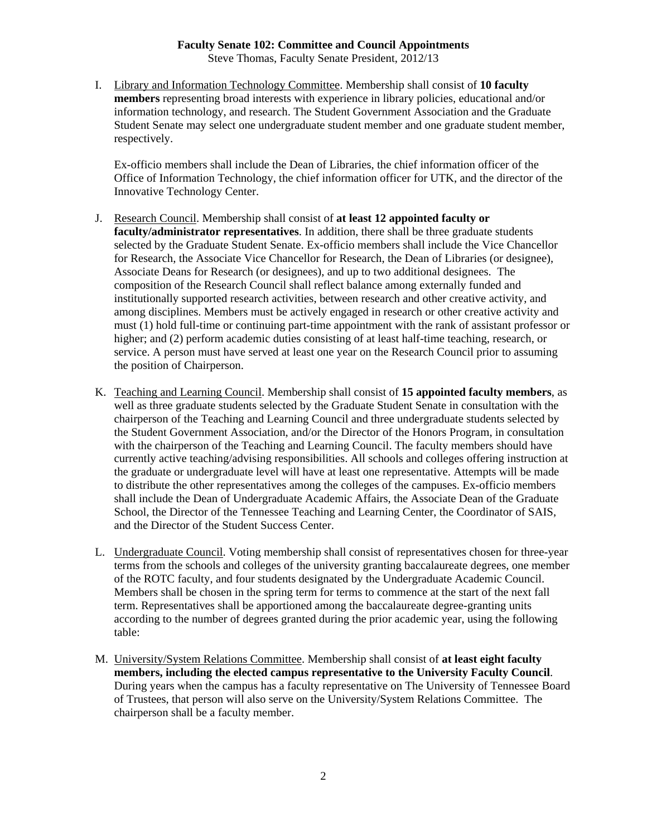# **Faculty Senate 102: Committee and Council Appointments**

Steve Thomas, Faculty Senate President, 2012/13

I. Library and Information Technology Committee. Membership shall consist of **10 faculty members** representing broad interests with experience in library policies, educational and/or information technology, and research. The Student Government Association and the Graduate Student Senate may select one undergraduate student member and one graduate student member, respectively.

Ex-officio members shall include the Dean of Libraries, the chief information officer of the Office of Information Technology, the chief information officer for UTK, and the director of the Innovative Technology Center.

- J. Research Council. Membership shall consist of **at least 12 appointed faculty or faculty/administrator representatives**. In addition, there shall be three graduate students selected by the Graduate Student Senate. Ex-officio members shall include the Vice Chancellor for Research, the Associate Vice Chancellor for Research, the Dean of Libraries (or designee), Associate Deans for Research (or designees), and up to two additional designees. The composition of the Research Council shall reflect balance among externally funded and institutionally supported research activities, between research and other creative activity, and among disciplines. Members must be actively engaged in research or other creative activity and must (1) hold full-time or continuing part-time appointment with the rank of assistant professor or higher; and (2) perform academic duties consisting of at least half-time teaching, research, or service. A person must have served at least one year on the Research Council prior to assuming the position of Chairperson.
- K. Teaching and Learning Council. Membership shall consist of **15 appointed faculty members**, as well as three graduate students selected by the Graduate Student Senate in consultation with the chairperson of the Teaching and Learning Council and three undergraduate students selected by the Student Government Association, and/or the Director of the Honors Program, in consultation with the chairperson of the Teaching and Learning Council. The faculty members should have currently active teaching/advising responsibilities. All schools and colleges offering instruction at the graduate or undergraduate level will have at least one representative. Attempts will be made to distribute the other representatives among the colleges of the campuses. Ex-officio members shall include the Dean of Undergraduate Academic Affairs, the Associate Dean of the Graduate School, the Director of the Tennessee Teaching and Learning Center, the Coordinator of SAIS, and the Director of the Student Success Center.
- L. Undergraduate Council. Voting membership shall consist of representatives chosen for three-year terms from the schools and colleges of the university granting baccalaureate degrees, one member of the ROTC faculty, and four students designated by the Undergraduate Academic Council. Members shall be chosen in the spring term for terms to commence at the start of the next fall term. Representatives shall be apportioned among the baccalaureate degree-granting units according to the number of degrees granted during the prior academic year, using the following table:
- M. University/System Relations Committee. Membership shall consist of **at least eight faculty members, including the elected campus representative to the University Faculty Council**. During years when the campus has a faculty representative on The University of Tennessee Board of Trustees, that person will also serve on the University/System Relations Committee. The chairperson shall be a faculty member.